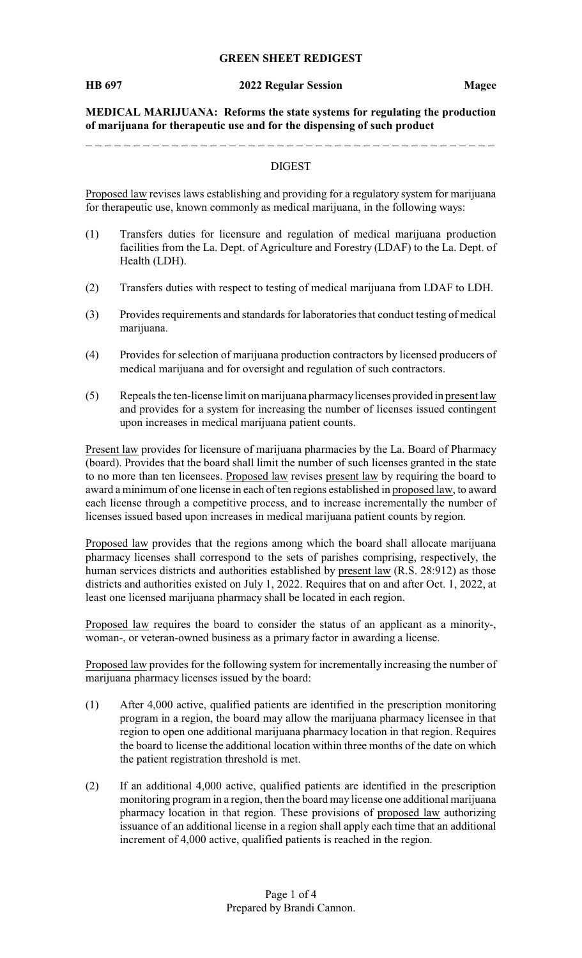#### **GREEN SHEET REDIGEST**

#### **HB 697 2022 Regular Session Magee**

**MEDICAL MARIJUANA: Reforms the state systems for regulating the production of marijuana for therapeutic use and for the dispensing of such product**

#### DIGEST

Proposed law revises laws establishing and providing for a regulatory system for marijuana for therapeutic use, known commonly as medical marijuana, in the following ways:

- (1) Transfers duties for licensure and regulation of medical marijuana production facilities from the La. Dept. of Agriculture and Forestry (LDAF) to the La. Dept. of Health (LDH).
- (2) Transfers duties with respect to testing of medical marijuana from LDAF to LDH.
- (3) Provides requirements and standards for laboratories that conduct testing of medical marijuana.
- (4) Provides for selection of marijuana production contractors by licensed producers of medical marijuana and for oversight and regulation of such contractors.
- (5) Repeals the ten-license limit on marijuana pharmacylicenses provided in present law and provides for a system for increasing the number of licenses issued contingent upon increases in medical marijuana patient counts.

Present law provides for licensure of marijuana pharmacies by the La. Board of Pharmacy (board). Provides that the board shall limit the number of such licenses granted in the state to no more than ten licensees. Proposed law revises present law by requiring the board to award a minimum of one license in each of ten regions established in proposed law, to award each license through a competitive process, and to increase incrementally the number of licenses issued based upon increases in medical marijuana patient counts by region.

Proposed law provides that the regions among which the board shall allocate marijuana pharmacy licenses shall correspond to the sets of parishes comprising, respectively, the human services districts and authorities established by present law (R.S. 28:912) as those districts and authorities existed on July 1, 2022. Requires that on and after Oct. 1, 2022, at least one licensed marijuana pharmacy shall be located in each region.

Proposed law requires the board to consider the status of an applicant as a minority-, woman-, or veteran-owned business as a primary factor in awarding a license.

Proposed law provides for the following system for incrementally increasing the number of marijuana pharmacy licenses issued by the board:

- (1) After 4,000 active, qualified patients are identified in the prescription monitoring program in a region, the board may allow the marijuana pharmacy licensee in that region to open one additional marijuana pharmacy location in that region. Requires the board to license the additional location within three months of the date on which the patient registration threshold is met.
- (2) If an additional 4,000 active, qualified patients are identified in the prescription monitoring program in a region, then the board may license one additional marijuana pharmacy location in that region. These provisions of proposed law authorizing issuance of an additional license in a region shall apply each time that an additional increment of 4,000 active, qualified patients is reached in the region.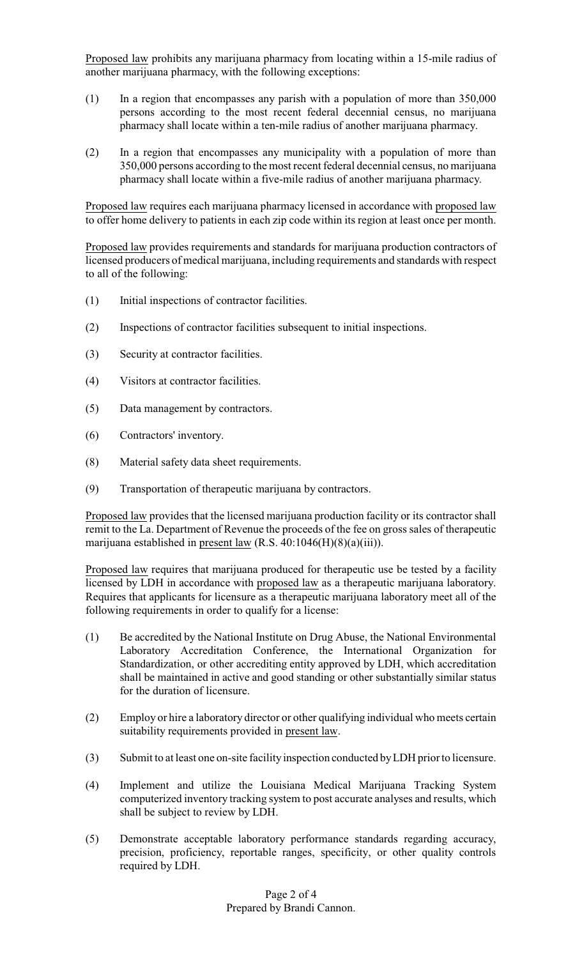Proposed law prohibits any marijuana pharmacy from locating within a 15-mile radius of another marijuana pharmacy, with the following exceptions:

- (1) In a region that encompasses any parish with a population of more than 350,000 persons according to the most recent federal decennial census, no marijuana pharmacy shall locate within a ten-mile radius of another marijuana pharmacy.
- (2) In a region that encompasses any municipality with a population of more than 350,000 persons according to the most recent federal decennial census, no marijuana pharmacy shall locate within a five-mile radius of another marijuana pharmacy.

Proposed law requires each marijuana pharmacy licensed in accordance with proposed law to offer home delivery to patients in each zip code within its region at least once per month.

Proposed law provides requirements and standards for marijuana production contractors of licensed producers of medical marijuana, including requirements and standards with respect to all of the following:

- (1) Initial inspections of contractor facilities.
- (2) Inspections of contractor facilities subsequent to initial inspections.
- (3) Security at contractor facilities.
- (4) Visitors at contractor facilities.
- (5) Data management by contractors.
- (6) Contractors' inventory.
- (8) Material safety data sheet requirements.
- (9) Transportation of therapeutic marijuana by contractors.

Proposed law provides that the licensed marijuana production facility or its contractor shall remit to the La. Department of Revenue the proceeds of the fee on gross sales of therapeutic marijuana established in present law (R.S. 40:1046(H)(8)(a)(iii)).

Proposed law requires that marijuana produced for therapeutic use be tested by a facility licensed by LDH in accordance with proposed law as a therapeutic marijuana laboratory. Requires that applicants for licensure as a therapeutic marijuana laboratory meet all of the following requirements in order to qualify for a license:

- (1) Be accredited by the National Institute on Drug Abuse, the National Environmental Laboratory Accreditation Conference, the International Organization for Standardization, or other accrediting entity approved by LDH, which accreditation shall be maintained in active and good standing or other substantially similar status for the duration of licensure.
- (2) Employ or hire a laboratory director or other qualifying individual who meets certain suitability requirements provided in present law.
- (3) Submit to at least one on-site facility inspection conducted byLDH prior to licensure.
- (4) Implement and utilize the Louisiana Medical Marijuana Tracking System computerized inventory tracking system to post accurate analyses and results, which shall be subject to review by LDH.
- (5) Demonstrate acceptable laboratory performance standards regarding accuracy, precision, proficiency, reportable ranges, specificity, or other quality controls required by LDH.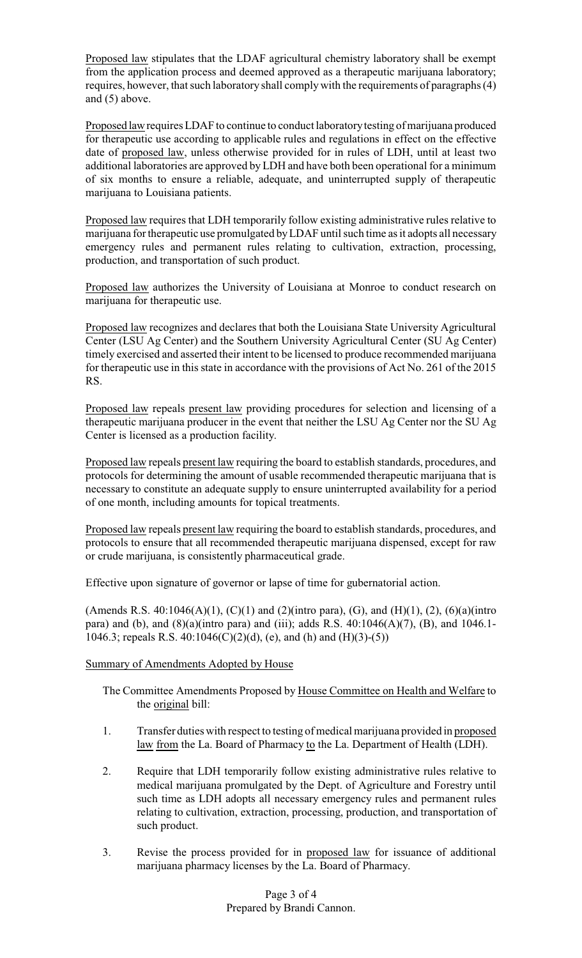Proposed law stipulates that the LDAF agricultural chemistry laboratory shall be exempt from the application process and deemed approved as a therapeutic marijuana laboratory; requires, however, that such laboratory shall complywith the requirements of paragraphs (4) and (5) above.

Proposed law requires LDAF to continue to conduct laboratory testing of marijuana produced for therapeutic use according to applicable rules and regulations in effect on the effective date of proposed law, unless otherwise provided for in rules of LDH, until at least two additional laboratories are approved byLDH and have both been operational for a minimum of six months to ensure a reliable, adequate, and uninterrupted supply of therapeutic marijuana to Louisiana patients.

Proposed law requires that LDH temporarily follow existing administrative rules relative to marijuana for therapeutic use promulgated byLDAF until such time as it adopts all necessary emergency rules and permanent rules relating to cultivation, extraction, processing, production, and transportation of such product.

Proposed law authorizes the University of Louisiana at Monroe to conduct research on marijuana for therapeutic use.

Proposed law recognizes and declares that both the Louisiana State University Agricultural Center (LSU Ag Center) and the Southern University Agricultural Center (SU Ag Center) timely exercised and asserted their intent to be licensed to produce recommended marijuana for therapeutic use in this state in accordance with the provisions of Act No. 261 of the 2015 RS.

Proposed law repeals present law providing procedures for selection and licensing of a therapeutic marijuana producer in the event that neither the LSU Ag Center nor the SU Ag Center is licensed as a production facility.

Proposed law repeals present law requiring the board to establish standards, procedures, and protocols for determining the amount of usable recommended therapeutic marijuana that is necessary to constitute an adequate supply to ensure uninterrupted availability for a period of one month, including amounts for topical treatments.

Proposed law repeals present law requiring the board to establish standards, procedures, and protocols to ensure that all recommended therapeutic marijuana dispensed, except for raw or crude marijuana, is consistently pharmaceutical grade.

Effective upon signature of governor or lapse of time for gubernatorial action.

(Amends R.S. 40:1046(A)(1), (C)(1) and (2)(intro para), (G), and (H)(1), (2), (6)(a)(intro para) and (b), and (8)(a)(intro para) and (iii); adds R.S. 40:1046(A)(7), (B), and 1046.1- 1046.3; repeals R.S. 40:1046(C)(2)(d), (e), and (h) and (H)(3)-(5))

# Summary of Amendments Adopted by House

The Committee Amendments Proposed by House Committee on Health and Welfare to the original bill:

- 1. Transfer duties with respect to testing of medical marijuana provided in proposed law from the La. Board of Pharmacy to the La. Department of Health (LDH).
- 2. Require that LDH temporarily follow existing administrative rules relative to medical marijuana promulgated by the Dept. of Agriculture and Forestry until such time as LDH adopts all necessary emergency rules and permanent rules relating to cultivation, extraction, processing, production, and transportation of such product.
- 3. Revise the process provided for in proposed law for issuance of additional marijuana pharmacy licenses by the La. Board of Pharmacy.